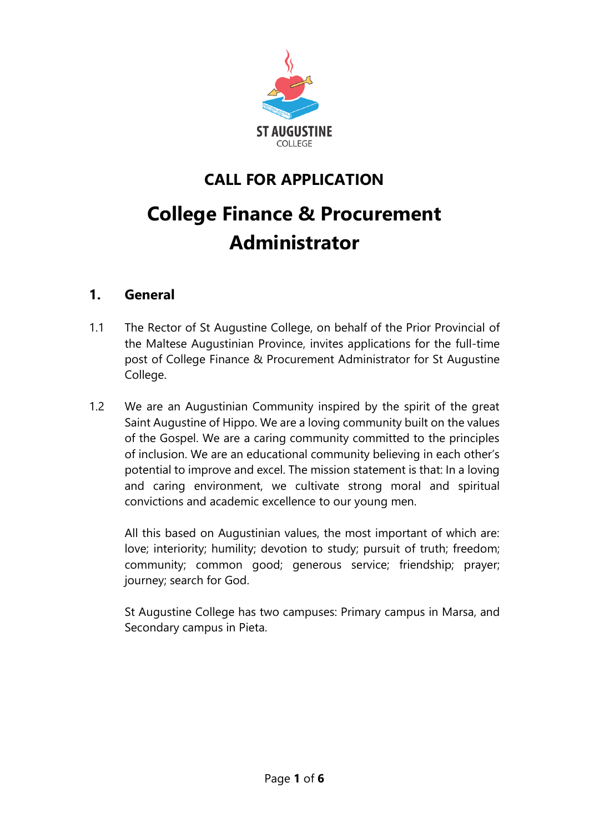

# **CALL FOR APPLICATION**

# **College Finance & Procurement Administrator**

#### **1. General**

- 1.1 The Rector of St Augustine College, on behalf of the Prior Provincial of the Maltese Augustinian Province, invites applications for the full-time post of College Finance & Procurement Administrator for St Augustine College.
- 1.2 We are an Augustinian Community inspired by the spirit of the great Saint Augustine of Hippo. We are a loving community built on the values of the Gospel. We are a caring community committed to the principles of inclusion. We are an educational community believing in each other's potential to improve and excel. The mission statement is that: In a loving and caring environment, we cultivate strong moral and spiritual convictions and academic excellence to our young men.

All this based on Augustinian values, the most important of which are: love; interiority; humility; devotion to study; pursuit of truth; freedom; community; common good; generous service; friendship; prayer; journey; search for God.

St Augustine College has two campuses: Primary campus in Marsa, and Secondary campus in Pieta.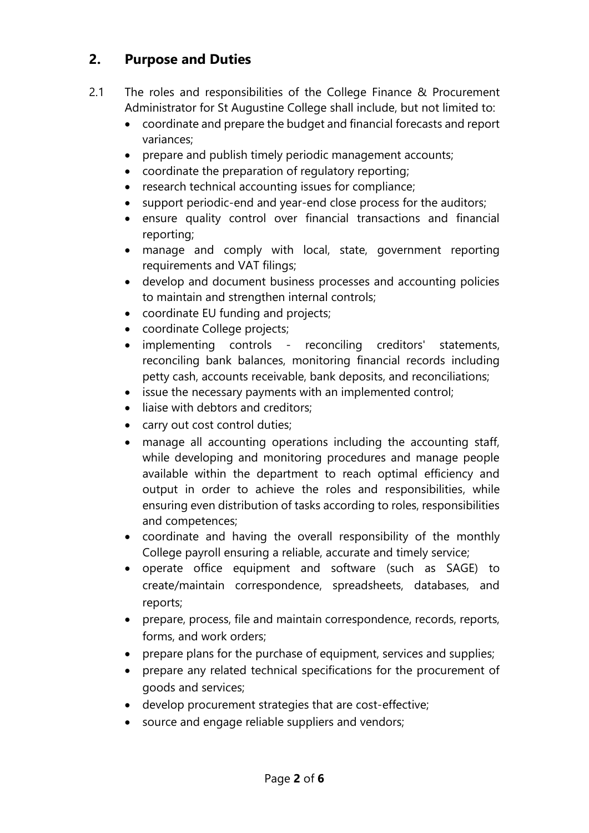#### **2. Purpose and Duties**

- 2.1 The roles and responsibilities of the College Finance & Procurement Administrator for St Augustine College shall include, but not limited to:
	- coordinate and prepare the budget and financial forecasts and report variances;
	- prepare and publish timely periodic management accounts;
	- coordinate the preparation of regulatory reporting;
	- research technical accounting issues for compliance;
	- support periodic-end and year-end close process for the auditors;
	- ensure quality control over financial transactions and financial reporting;
	- manage and comply with local, state, government reporting requirements and VAT filings;
	- develop and document business processes and accounting policies to maintain and strengthen internal controls;
	- coordinate EU funding and projects;
	- coordinate College projects;
	- implementing controls reconciling creditors' statements, reconciling bank balances, monitoring financial records including petty cash, accounts receivable, bank deposits, and reconciliations;
	- issue the necessary payments with an implemented control;
	- liaise with debtors and creditors:
	- carry out cost control duties;
	- manage all accounting operations including the accounting staff, while developing and monitoring procedures and manage people available within the department to reach optimal efficiency and output in order to achieve the roles and responsibilities, while ensuring even distribution of tasks according to roles, responsibilities and competences;
	- coordinate and having the overall responsibility of the monthly College payroll ensuring a reliable, accurate and timely service;
	- operate office equipment and software (such as SAGE) to create/maintain correspondence, spreadsheets, databases, and reports;
	- prepare, process, file and maintain correspondence, records, reports, forms, and work orders;
	- prepare plans for the purchase of equipment, services and supplies;
	- prepare any related technical specifications for the procurement of goods and services;
	- develop procurement strategies that are cost-effective;
	- source and engage reliable suppliers and vendors;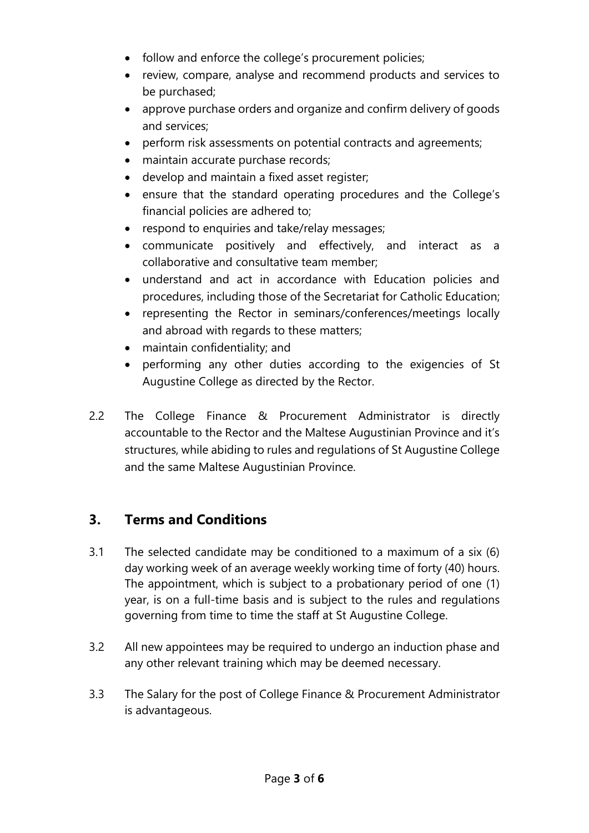- follow and enforce the college's procurement policies;
- review, compare, analyse and recommend products and services to be purchased;
- approve purchase orders and organize and confirm delivery of goods and services;
- perform risk assessments on potential contracts and agreements;
- maintain accurate purchase records:
- develop and maintain a fixed asset register;
- ensure that the standard operating procedures and the College's financial policies are adhered to;
- respond to enquiries and take/relay messages;
- communicate positively and effectively, and interact as a collaborative and consultative team member;
- understand and act in accordance with Education policies and procedures, including those of the Secretariat for Catholic Education;
- representing the Rector in seminars/conferences/meetings locally and abroad with regards to these matters;
- maintain confidentiality; and
- performing any other duties according to the exigencies of St Augustine College as directed by the Rector.
- 2.2 The College Finance & Procurement Administrator is directly accountable to the Rector and the Maltese Augustinian Province and it's structures, while abiding to rules and regulations of St Augustine College and the same Maltese Augustinian Province.

## **3. Terms and Conditions**

- 3.1 The selected candidate may be conditioned to a maximum of a six (6) day working week of an average weekly working time of forty (40) hours. The appointment, which is subject to a probationary period of one (1) year, is on a full-time basis and is subject to the rules and regulations governing from time to time the staff at St Augustine College.
- 3.2 All new appointees may be required to undergo an induction phase and any other relevant training which may be deemed necessary.
- 3.3 The Salary for the post of College Finance & Procurement Administrator is advantageous.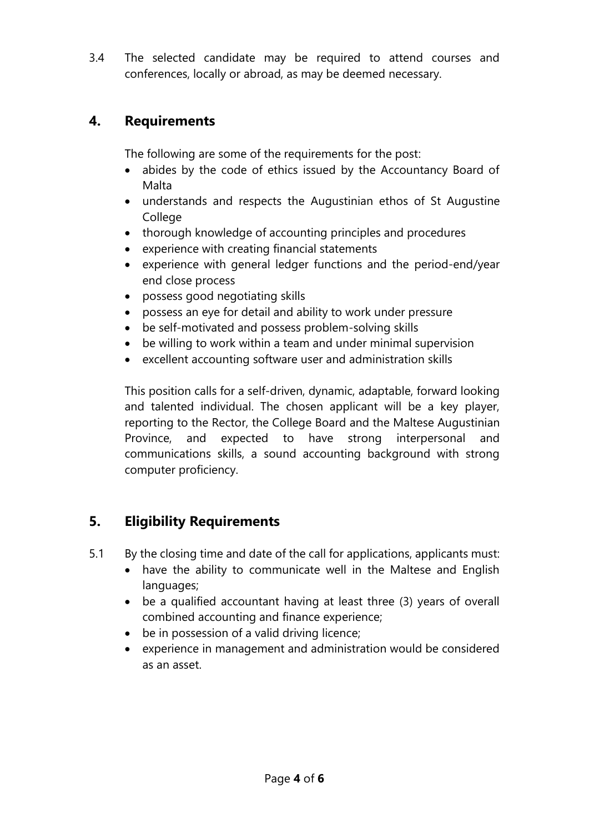3.4 The selected candidate may be required to attend courses and conferences, locally or abroad, as may be deemed necessary.

#### **4. Requirements**

The following are some of the requirements for the post:

- abides by the code of ethics issued by the Accountancy Board of Malta
- understands and respects the Augustinian ethos of St Augustine College
- thorough knowledge of accounting principles and procedures
- experience with creating financial statements
- experience with general ledger functions and the period-end/year end close process
- possess good negotiating skills
- possess an eye for detail and ability to work under pressure
- be self-motivated and possess problem-solving skills
- be willing to work within a team and under minimal supervision
- excellent accounting software user and administration skills

This position calls for a self-driven, dynamic, adaptable, forward looking and talented individual. The chosen applicant will be a key player, reporting to the Rector, the College Board and the Maltese Augustinian Province, and expected to have strong interpersonal and communications skills, a sound accounting background with strong computer proficiency.

#### **5. Eligibility Requirements**

- 5.1 By the closing time and date of the call for applications, applicants must:
	- have the ability to communicate well in the Maltese and English languages;
	- be a qualified accountant having at least three (3) years of overall combined accounting and finance experience;
	- be in possession of a valid driving licence;
	- experience in management and administration would be considered as an asset.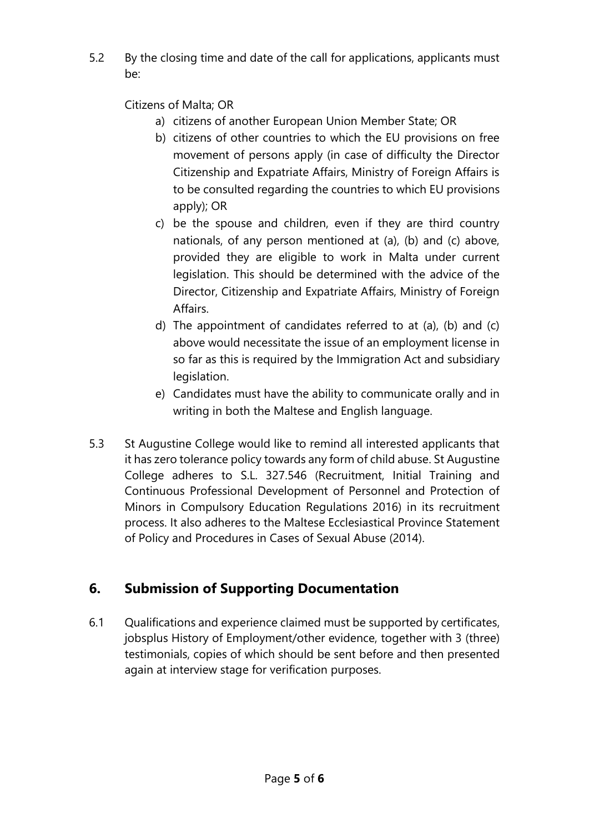5.2 By the closing time and date of the call for applications, applicants must be:

Citizens of Malta; OR

- a) citizens of another European Union Member State; OR
- b) citizens of other countries to which the EU provisions on free movement of persons apply (in case of difficulty the Director Citizenship and Expatriate Affairs, Ministry of Foreign Affairs is to be consulted regarding the countries to which EU provisions apply); OR
- c) be the spouse and children, even if they are third country nationals, of any person mentioned at (a), (b) and (c) above, provided they are eligible to work in Malta under current legislation. This should be determined with the advice of the Director, Citizenship and Expatriate Affairs, Ministry of Foreign Affairs.
- d) The appointment of candidates referred to at (a), (b) and (c) above would necessitate the issue of an employment license in so far as this is required by the Immigration Act and subsidiary legislation.
- e) Candidates must have the ability to communicate orally and in writing in both the Maltese and English language.
- 5.3 St Augustine College would like to remind all interested applicants that it has zero tolerance policy towards any form of child abuse. St Augustine College adheres to S.L. 327.546 (Recruitment, Initial Training and Continuous Professional Development of Personnel and Protection of Minors in Compulsory Education Regulations 2016) in its recruitment process. It also adheres to the Maltese Ecclesiastical Province Statement of Policy and Procedures in Cases of Sexual Abuse (2014).

### **6. Submission of Supporting Documentation**

6.1 Qualifications and experience claimed must be supported by certificates, jobsplus History of Employment/other evidence, together with 3 (three) testimonials, copies of which should be sent before and then presented again at interview stage for verification purposes.